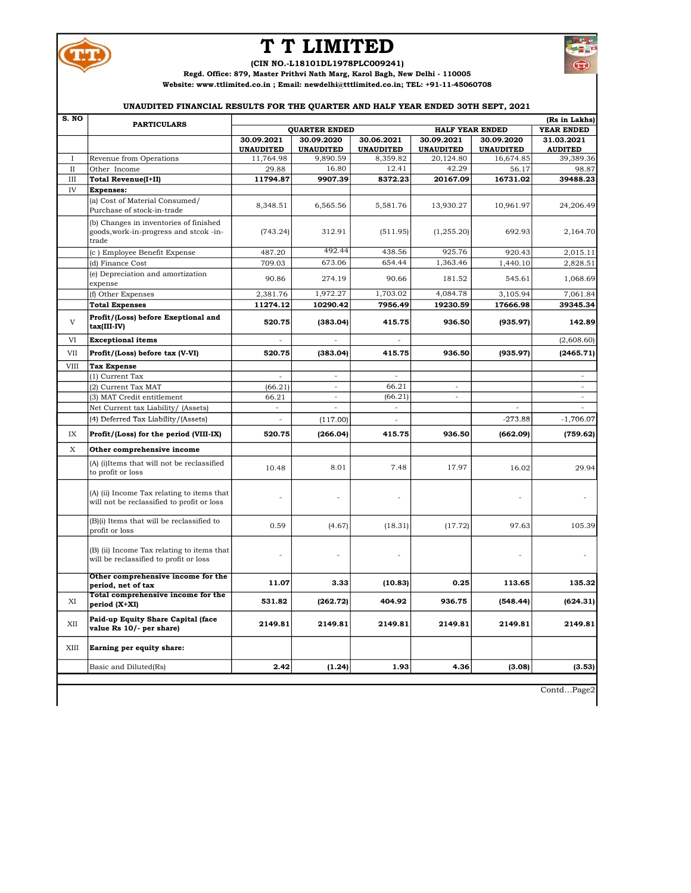

## T T LIMITED

(CIN NO.-L18101DL1978PLC009241)

Regd. Office: 879, Master Prithvi Nath Marg, Karol Bagh, New Delhi - 110005

Website: www.ttlimited.co.in ; Email: newdelhi@tttlimited.co.in; TEL: +91-11-45060708

## UNAUDITED FINANCIAL RESULTS FOR THE QUARTER AND HALF YEAR ENDED 30TH SEPT, 2021

| S. NO        | <b>PARTICULARS</b>                                                                       |                  |                          |                  |                        |                  | (Rs in Lakhs)  |
|--------------|------------------------------------------------------------------------------------------|------------------|--------------------------|------------------|------------------------|------------------|----------------|
|              |                                                                                          |                  | <b>QUARTER ENDED</b>     |                  | <b>HALF YEAR ENDED</b> |                  | YEAR ENDED     |
|              |                                                                                          | 30.09.2021       | 30.09.2020               | 30.06.2021       | 30.09.2021             | 30.09.2020       | 31.03.2021     |
|              |                                                                                          | <b>UNAUDITED</b> | <b>UNAUDITED</b>         | <b>UNAUDITED</b> | <b>UNAUDITED</b>       | <b>UNAUDITED</b> | <b>AUDITED</b> |
| $\mathbf{I}$ | Revenue from Operations                                                                  | 11,764.98        | 9,890.59                 | 8,359.82         | 20,124.80<br>42.29     | 16,674.85        | 39,389.36      |
| $\mathbf{I}$ | Other Income                                                                             | 29.88            | 16.80                    | 12.41            |                        | 56.17            | 98.87          |
| III          | <b>Total Revenue(I+II)</b>                                                               | 11794.87         | 9907.39                  | 8372.23          | 20167.09               | 16731.02         | 39488.23       |
| IV           | <b>Expenses:</b>                                                                         |                  |                          |                  |                        |                  |                |
|              | (a) Cost of Material Consumed/<br>Purchase of stock-in-trade                             | 8,348.51         | 6,565.56                 | 5,581.76         | 13,930.27              | 10,961.97        | 24,206.49      |
|              | (b) Changes in inventories of finished<br>goods, work-in-progress and stcok-in-<br>trade | (743.24)         | 312.91                   | (511.95)         | (1,255.20)             | 692.93           | 2,164.70       |
|              | (c) Employee Benefit Expense                                                             | 487.20           | 492.44                   | 438.56           | 925.76                 | 920.43           | 2,015.11       |
|              | (d) Finance Cost                                                                         | 709.03           | 673.06                   | 654.44           | 1,363.46               | 1,440.10         | 2,828.51       |
|              | (e) Depreciation and amortization<br>expense                                             | 90.86            | 274.19                   | 90.66            | 181.52                 | 545.61           | 1,068.69       |
|              | (f) Other Expenses                                                                       | 2,381.76         | 1,972.27                 | 1,703.02         | 4,084.78               | 3,105.94         | 7,061.84       |
|              | <b>Total Expenses</b>                                                                    | 11274.12         | 10290.42                 | 7956.49          | 19230.59               | 17666.98         | 39345.34       |
| $\mathbf{V}$ | Profit/(Loss) before Exeptional and<br>$tax(III-IV)$                                     | 520.75           | (383.04)                 | 415.75           | 936.50                 | (935.97)         | 142.89         |
| VI           | <b>Exceptional items</b>                                                                 |                  |                          |                  |                        |                  | (2,608.60)     |
| <b>VII</b>   | Profit/(Loss) before tax (V-VI)                                                          | 520.75           | (383.04)                 | 415.75           | 936.50                 | (935.97)         | (2465.71)      |
| <b>VIII</b>  | <b>Tax Expense</b>                                                                       |                  |                          |                  |                        |                  |                |
|              | (1) Current Tax                                                                          | ÷.               | $\sim$                   | $\overline{a}$   |                        |                  | $\sim$         |
|              | (2) Current Tax MAT                                                                      | (66.21)          | L.                       | 66.21            |                        |                  |                |
|              | (3) MAT Credit entitlement                                                               | 66.21            | $\overline{\phantom{a}}$ | (66.21)          | $\sim$                 |                  | $\equiv$       |
|              | Net Current tax Liability/ (Assets)                                                      |                  |                          | ÷,               |                        |                  |                |
|              | (4) Deferred Tax Liability/(Assets)                                                      | ÷,               | (117.00)                 | $\frac{1}{2}$    |                        | $-273.88$        | $-1,706.07$    |
| IX           | Profit/(Loss) for the period (VIII-IX)                                                   | 520.75           | (266.04)                 | 415.75           | 936.50                 | (662.09)         | (759.62)       |
| X            | Other comprehensive income                                                               |                  |                          |                  |                        |                  |                |
|              | (A) (i)Items that will not be reclassified<br>to profit or loss                          | 10.48            | 8.01                     | 7.48             | 17.97                  | 16.02            | 29.94          |
|              | (A) (ii) Income Tax relating to items that<br>will not be reclassified to profit or loss |                  |                          |                  |                        |                  |                |
|              | (B)(i) Items that will be reclassified to<br>profit or loss                              | 0.59             | (4.67)                   | (18.31)          | (17.72)                | 97.63            | 105.39         |
|              | (B) (ii) Income Tax relating to items that<br>will be reclassified to profit or loss     |                  |                          |                  |                        |                  |                |
|              | Other comprehensive income for the<br>period, net of tax                                 | 11.07            | 3.33                     | (10.83)          | 0.25                   | 113.65           | 135.32         |
| XI           | Total comprehensive income for the<br>$period (X+XI)$                                    | 531.82           | (262.72)                 | 404.92           | 936.75                 | (548.44)         | (624.31)       |
| XII          | Paid-up Equity Share Capital (face<br>value Rs 10/- per share)                           | 2149.81          | 2149.81                  | 2149.81          | 2149.81                | 2149.81          | 2149.81        |
| XIII         | Earning per equity share:                                                                |                  |                          |                  |                        |                  |                |
|              | Basic and Diluted(Rs)                                                                    | 2.42             | (1.24)                   | 1.93             | 4.36                   | (3.08)           | (3.53)         |
|              |                                                                                          |                  |                          |                  |                        |                  |                |

Contd…Page2

نع کا ر  $\bullet$   $\bullet$  $(T)$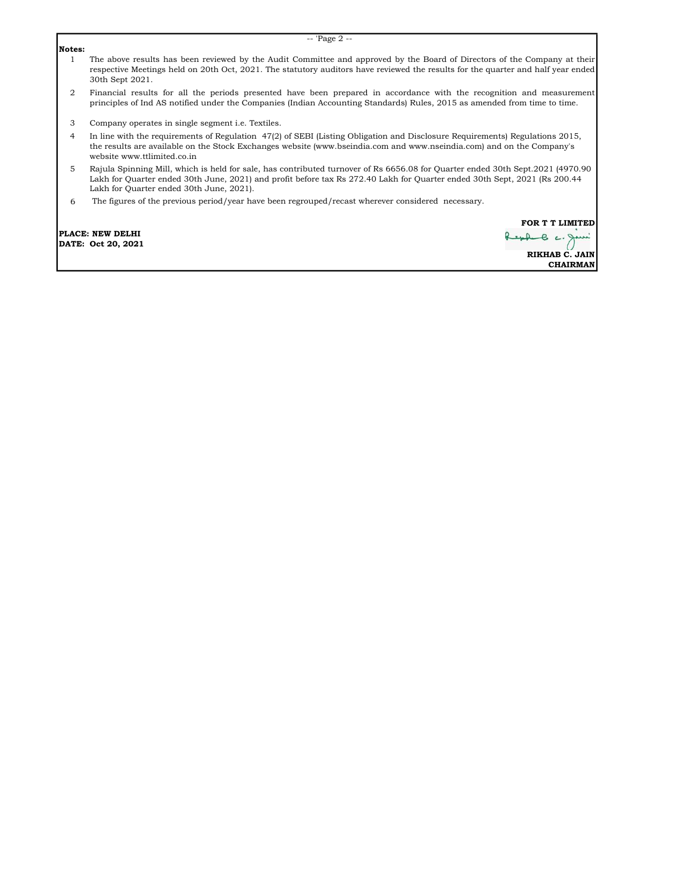## Notes:

- 1 The above results has been reviewed by the Audit Committee and approved by the Board of Directors of the Company at their respective Meetings held on 20th Oct, 2021. The statutory auditors have reviewed the results for the quarter and half year ended 30th Sept 2021.
- 2 Financial results for all the periods presented have been prepared in accordance with the recognition and measurement principles of Ind AS notified under the Companies (Indian Accounting Standards) Rules, 2015 as amended from time to time.
- 3 Company operates in single segment i.e. Textiles.
- 4 In line with the requirements of Regulation 47(2) of SEBI (Listing Obligation and Disclosure Requirements) Regulations 2015, the results are available on the Stock Exchanges website (www.bseindia.com and www.nseindia.com) and on the Company's website www.ttlimited.co.in
- 5 Rajula Spinning Mill, which is held for sale, has contributed turnover of Rs 6656.08 for Quarter ended 30th Sept.2021 (4970.90 Lakh for Quarter ended 30th June, 2021) and profit before tax Rs 272.40 Lakh for Quarter ended 30th Sept, 2021 (Rs 200.44 Lakh for Quarter ended 30th June, 2021).
- 6 The figures of the previous period/year have been regrouped/recast wherever considered necessary.

PLACE: NEW DELHI DATE: Oct 20, 2021 FOR **T** T LIMITED  $e$   $\epsilon$ . RIKHAB C. JAIN CHAIRMAN